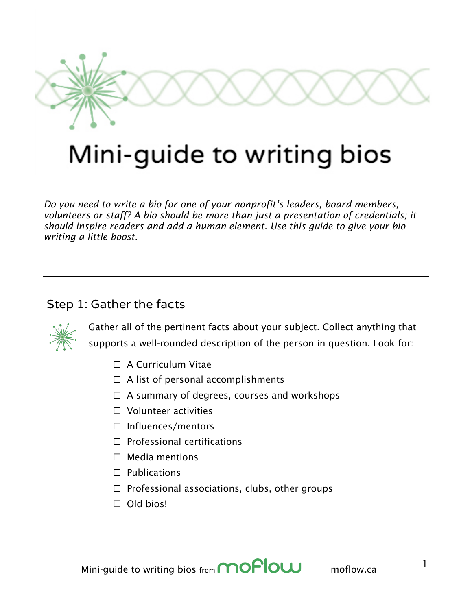

# Mini-guide to writing bios

*Do you need to write a bio for one of your nonprofit's leaders, board members, volunteers or staff? A bio should be more than just a presentation of credentials; it should inspire readers and add a human element. Use this guide to give your bio writing a little boost.*

#### Step 1: Gather the facts



Gather all of the pertinent facts about your subject. Collect anything that supports a well-rounded description of the person in question. Look for:

- $\Box$  A Curriculum Vitae
- $\Box$  A list of personal accomplishments
- $\Box$  A summary of degrees, courses and workshops
- $\Box$  Volunteer activities
- □ Influences/mentors
- $\Box$  Professional certifications
- $\Box$  Media mentions
- $\Box$  Publications
- $\Box$  Professional associations, clubs, other groups
- $\Box$  Old bios!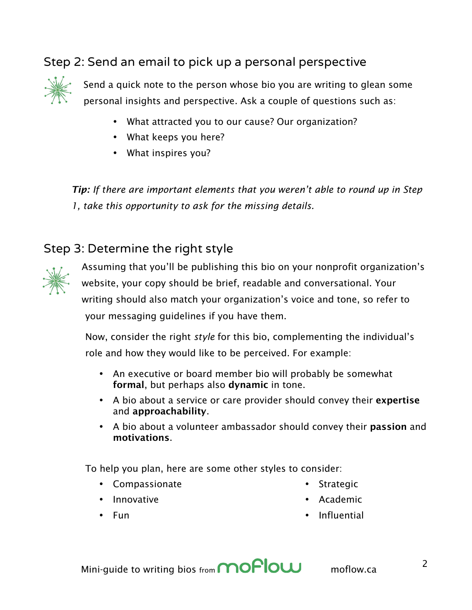### Step 2: Send an email to pick up a personal perspective



Send a quick note to the person whose bio you are writing to glean some personal insights and perspective. Ask a couple of questions such as:

- What attracted you to our cause? Our organization?
- What keeps you here?
- What inspires you?

*Tip: If there are important elements that you weren't able to round up in Step 1, take this opportunity to ask for the missing details.*

#### Step 3: Determine the right style



Assuming that you'll be publishing this bio on your nonprofit organization's website, your copy should be brief, readable and conversational. Your writing should also match your organization's voice and tone, so refer to your messaging guidelines if you have them.

Now, consider the right *style* for this bio, complementing the individual's role and how they would like to be perceived. For example:

- An executive or board member bio will probably be somewhat formal, but perhaps also dynamic in tone.
- A bio about a service or care provider should convey their expertise and approachability.
- A bio about a volunteer ambassador should convey their **passion** and motivations.

To help you plan, here are some other styles to consider:

• Compassionate

• Innovative

- **Strategic**
- Academic

• Fun

**Influential**